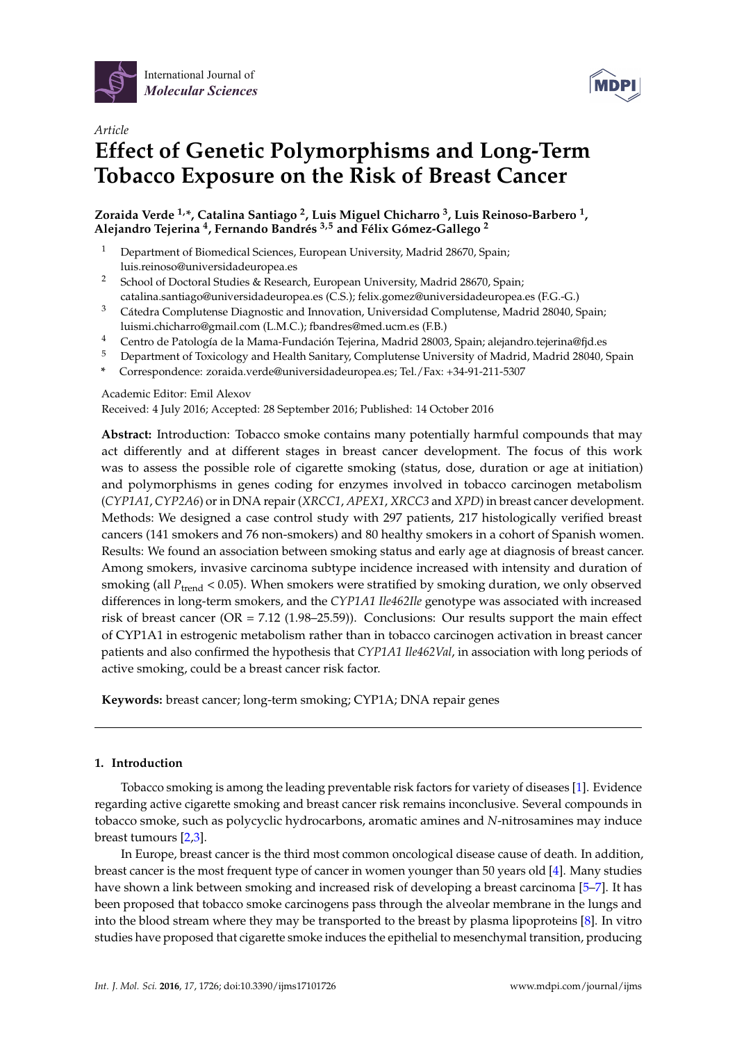



# *Article* **Effect of Genetic Polymorphisms and Long-Term Tobacco Exposure on the Risk of Breast Cancer**

**Zoraida Verde 1,\*, Catalina Santiago <sup>2</sup> , Luis Miguel Chicharro <sup>3</sup> , Luis Reinoso-Barbero <sup>1</sup> , Alejandro Tejerina <sup>4</sup> , Fernando Bandrés 3,5 and Félix Gómez-Gallego <sup>2</sup>**

- <sup>1</sup> Department of Biomedical Sciences, European University, Madrid 28670, Spain; luis.reinoso@universidadeuropea.es
- <sup>2</sup> School of Doctoral Studies & Research, European University, Madrid 28670, Spain; catalina.santiago@universidadeuropea.es (C.S.); felix.gomez@universidadeuropea.es (F.G.-G.)
- <sup>3</sup> Cátedra Complutense Diagnostic and Innovation, Universidad Complutense, Madrid 28040, Spain; luismi.chicharro@gmail.com (L.M.C.); fbandres@med.ucm.es (F.B.)
- <sup>4</sup> Centro de Patología de la Mama-Fundación Tejerina, Madrid 28003, Spain; alejandro.tejerina@fjd.es
- <sup>5</sup> Department of Toxicology and Health Sanitary, Complutense University of Madrid, Madrid 28040, Spain
- **\*** Correspondence: zoraida.verde@universidadeuropea.es; Tel./Fax: +34-91-211-5307

Academic Editor: Emil Alexov

Received: 4 July 2016; Accepted: 28 September 2016; Published: 14 October 2016

**Abstract:** Introduction: Tobacco smoke contains many potentially harmful compounds that may act differently and at different stages in breast cancer development. The focus of this work was to assess the possible role of cigarette smoking (status, dose, duration or age at initiation) and polymorphisms in genes coding for enzymes involved in tobacco carcinogen metabolism (*CYP1A1*, *CYP2A6*) or in DNA repair (*XRCC1*, *APEX1*, *XRCC3* and *XPD*) in breast cancer development. Methods: We designed a case control study with 297 patients, 217 histologically verified breast cancers (141 smokers and 76 non-smokers) and 80 healthy smokers in a cohort of Spanish women. Results: We found an association between smoking status and early age at diagnosis of breast cancer. Among smokers, invasive carcinoma subtype incidence increased with intensity and duration of smoking (all  $P_{trend}$  < 0.05). When smokers were stratified by smoking duration, we only observed differences in long-term smokers, and the *CYP1A1 Ile462Ile* genotype was associated with increased risk of breast cancer (OR = 7.12 (1.98–25.59)). Conclusions: Our results support the main effect of CYP1A1 in estrogenic metabolism rather than in tobacco carcinogen activation in breast cancer patients and also confirmed the hypothesis that *CYP1A1 Ile462Val*, in association with long periods of active smoking, could be a breast cancer risk factor.

**Keywords:** breast cancer; long-term smoking; CYP1A; DNA repair genes

# **1. Introduction**

Tobacco smoking is among the leading preventable risk factors for variety of diseases [\[1\]](#page-8-0). Evidence regarding active cigarette smoking and breast cancer risk remains inconclusive. Several compounds in tobacco smoke, such as polycyclic hydrocarbons, aromatic amines and *N*-nitrosamines may induce breast tumours [\[2](#page-8-1)[,3\]](#page-8-2).

In Europe, breast cancer is the third most common oncological disease cause of death. In addition, breast cancer is the most frequent type of cancer in women younger than 50 years old [\[4\]](#page-8-3). Many studies have shown a link between smoking and increased risk of developing a breast carcinoma [\[5–](#page-8-4)[7\]](#page-8-5). It has been proposed that tobacco smoke carcinogens pass through the alveolar membrane in the lungs and into the blood stream where they may be transported to the breast by plasma lipoproteins [\[8\]](#page-8-6). In vitro studies have proposed that cigarette smoke induces the epithelial to mesenchymal transition, producing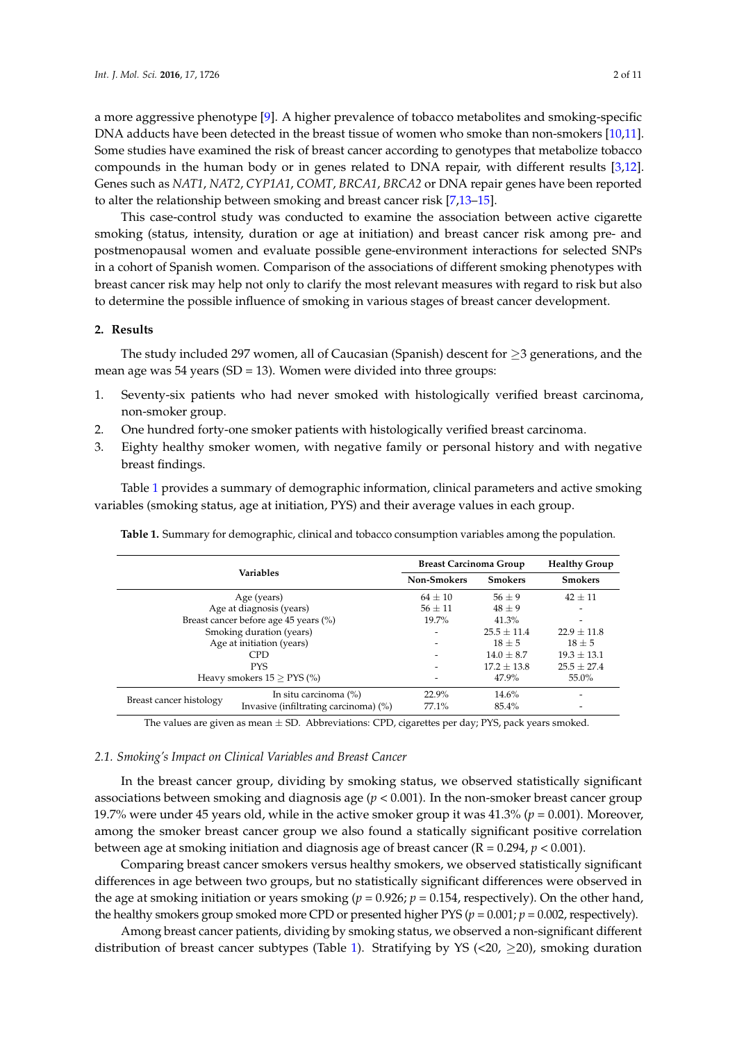a more aggressive phenotype [\[9\]](#page-8-7). A higher prevalence of tobacco metabolites and smoking-specific DNA adducts have been detected in the breast tissue of women who smoke than non-smokers [\[10](#page-8-8)[,11\]](#page-8-9). Some studies have examined the risk of breast cancer according to genotypes that metabolize tobacco compounds in the human body or in genes related to DNA repair, with different results [\[3,](#page-8-2)[12\]](#page-8-10). Genes such as *NAT1*, *NAT2*, *CYP1A1*, *COMT*, *BRCA1*, *BRCA2* or DNA repair genes have been reported to alter the relationship between smoking and breast cancer risk [\[7](#page-8-5)[,13–](#page-8-11)[15\]](#page-8-12).

This case-control study was conducted to examine the association between active cigarette smoking (status, intensity, duration or age at initiation) and breast cancer risk among pre- and postmenopausal women and evaluate possible gene-environment interactions for selected SNPs in a cohort of Spanish women. Comparison of the associations of different smoking phenotypes with breast cancer risk may help not only to clarify the most relevant measures with regard to risk but also to determine the possible influence of smoking in various stages of breast cancer development.

### **2. Results**

The study included 297 women, all of Caucasian (Spanish) descent for  $\geq$ 3 generations, and the mean age was 54 years (SD = 13). Women were divided into three groups:

- 1. Seventy-six patients who had never smoked with histologically verified breast carcinoma, non-smoker group.
- 2. One hundred forty-one smoker patients with histologically verified breast carcinoma.
- 3. Eighty healthy smoker women, with negative family or personal history and with negative breast findings.

Table [1](#page-1-0) provides a summary of demographic information, clinical parameters and active smoking variables (smoking status, age at initiation, PYS) and their average values in each group.

| <b>Variables</b>                      |                                       | <b>Breast Carcinoma Group</b> | <b>Healthy Group</b> |       |
|---------------------------------------|---------------------------------------|-------------------------------|----------------------|-------|
|                                       | <b>Non-Smokers</b>                    | <b>Smokers</b>                | <b>Smokers</b>       |       |
|                                       | $64 \pm 10$                           | $56 \pm 9$                    | $42 + 11$            |       |
| Age at diagnosis (years)              | $56 + 11$                             | $48 + 9$                      |                      |       |
| Breast cancer before age 45 years (%) | $19.7\%$                              | 41.3%                         |                      |       |
| Smoking duration (years)              | $\overline{\phantom{0}}$              | $25.5 + 11.4$                 | $22.9 \pm 11.8$      |       |
| Age at initiation (years)             | $\overline{\phantom{0}}$              | $18 + 5$                      | $18 \pm 5$           |       |
|                                       |                                       | $14.0 + 8.7$                  | $19.3 \pm 13.1$      |       |
|                                       |                                       | $17.2 + 13.8$                 | $25.5 \pm 27.4$      |       |
| Heavy smokers $15 >$ PYS $(\%)$       |                                       |                               | 47.9%                | 55.0% |
| Breast cancer histology               | In situ carcinoma (%)                 | 22.9%                         | 14.6%                |       |
|                                       | Invasive (infiltrating carcinoma) (%) | 77.1%                         | 85.4%                |       |

<span id="page-1-0"></span>**Table 1.** Summary for demographic, clinical and tobacco consumption variables among the population.

The values are given as mean  $\pm$  SD. Abbreviations: CPD, cigarettes per day; PYS, pack years smoked.

#### *2.1. Smoking's Impact on Clinical Variables and Breast Cancer*

In the breast cancer group, dividing by smoking status, we observed statistically significant associations between smoking and diagnosis age (*p* < 0.001). In the non-smoker breast cancer group 19.7% were under 45 years old, while in the active smoker group it was 41.3% (*p* = 0.001). Moreover, among the smoker breast cancer group we also found a statically significant positive correlation between age at smoking initiation and diagnosis age of breast cancer (R = 0.294, *p* < 0.001).

Comparing breast cancer smokers versus healthy smokers, we observed statistically significant differences in age between two groups, but no statistically significant differences were observed in the age at smoking initiation or years smoking ( $p = 0.926$ ;  $p = 0.154$ , respectively). On the other hand, the healthy smokers group smoked more CPD or presented higher PYS ( $p = 0.001$ ;  $p = 0.002$ , respectively).

Among breast cancer patients, dividing by smoking status, we observed a non-significant different distribution of breast cancer subtypes (Table [1\)](#page-1-0). Stratifying by YS (<20,  $\geq$ 20), smoking duration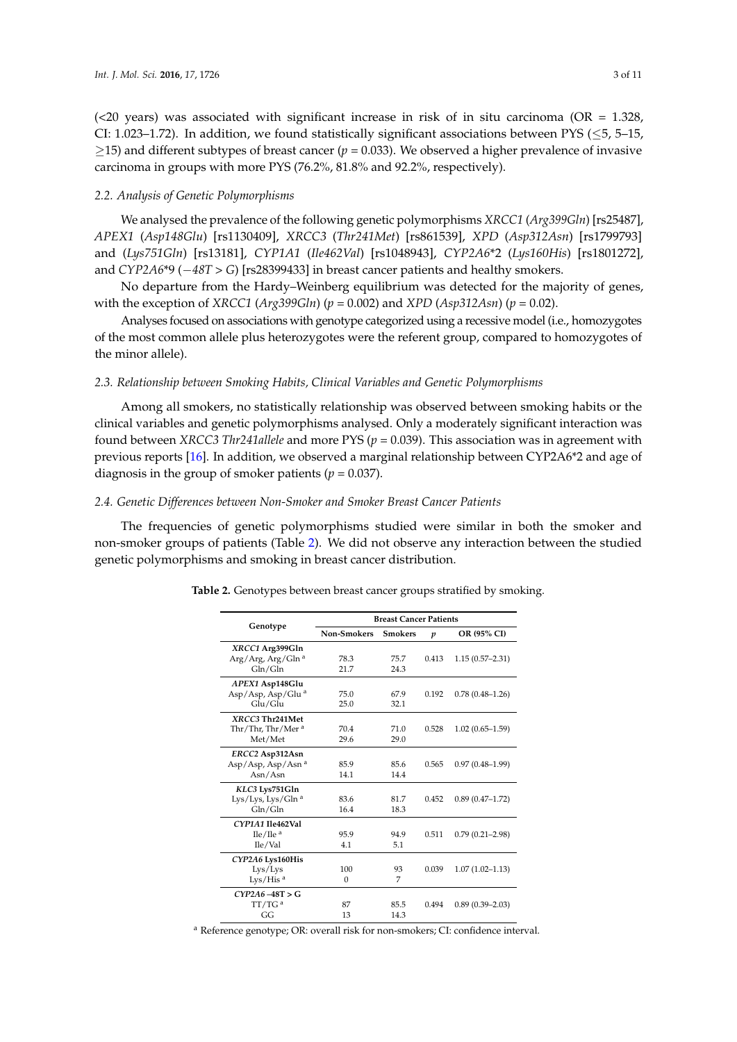( $<20$  years) was associated with significant increase in risk of in situ carcinoma (OR = 1.328, CI: 1.023–1.72). In addition, we found statistically significant associations between PYS ( $\leq$ 5, 5–15, ≥15) and different subtypes of breast cancer (*p* = 0.033). We observed a higher prevalence of invasive carcinoma in groups with more PYS (76.2%, 81.8% and 92.2%, respectively).

#### *2.2. Analysis of Genetic Polymorphisms*

We analysed the prevalence of the following genetic polymorphisms *XRCC1* (*Arg399Gln*) [rs25487], *APEX1* (*Asp148Glu*) [rs1130409], *XRCC3* (*Thr241Met*) [rs861539], *XPD* (*Asp312Asn*) [rs1799793] and (*Lys751Gln*) [rs13181], *CYP1A1* (*Ile462Val*) [rs1048943], *CYP2A6*\*2 (*Lys160His*) [rs1801272], and *CYP2A6*\*9 (−*48T > G*) [rs28399433] in breast cancer patients and healthy smokers.

No departure from the Hardy–Weinberg equilibrium was detected for the majority of genes, with the exception of *XRCC1* (*Arg399Gln*) (*p* = 0.002) and *XPD* (*Asp312Asn*) (*p* = 0.02).

Analyses focused on associations with genotype categorized using a recessive model (i.e., homozygotes of the most common allele plus heterozygotes were the referent group, compared to homozygotes of the minor allele).

### *2.3. Relationship between Smoking Habits, Clinical Variables and Genetic Polymorphisms*

Among all smokers, no statistically relationship was observed between smoking habits or the clinical variables and genetic polymorphisms analysed. Only a moderately significant interaction was found between *XRCC3 Thr241allele* and more PYS (*p* = 0.039). This association was in agreement with previous reports [\[16\]](#page-8-13). In addition, we observed a marginal relationship between CYP2A6\*2 and age of diagnosis in the group of smoker patients ( $p = 0.037$ ).

#### *2.4. Genetic Differences between Non-Smoker and Smoker Breast Cancer Patients*

<span id="page-2-0"></span>The frequencies of genetic polymorphisms studied were similar in both the smoker and non-smoker groups of patients (Table [2\)](#page-2-0). We did not observe any interaction between the studied genetic polymorphisms and smoking in breast cancer distribution.

|                               | <b>Breast Cancer Patients</b> |                |                  |                     |  |  |
|-------------------------------|-------------------------------|----------------|------------------|---------------------|--|--|
| Genotype                      | Non-Smokers                   | <b>Smokers</b> | $\boldsymbol{p}$ | OR (95% CI)         |  |  |
| XRCC1 Arg399Gln               |                               |                |                  |                     |  |  |
| Arg/Arg, Arg/Gln <sup>a</sup> | 78.3                          | 75.7           | 0.413            | $1.15(0.57 - 2.31)$ |  |  |
| Gln/Gln                       | 21.7                          | 24.3           |                  |                     |  |  |
| APEX1 Asp148Glu               |                               |                |                  |                     |  |  |
| Asp/Asp, Asp/Glu <sup>a</sup> | 75.0                          | 67.9           | 0.192            | $0.78(0.48 - 1.26)$ |  |  |
| Glu/Glu                       | 25.0                          | 32.1           |                  |                     |  |  |
| XRCC3 Thr241Met               |                               |                |                  |                     |  |  |
| Thr/Thr, Thr/Mer <sup>a</sup> | 70.4                          | 71.0           | 0.528            | $1.02(0.65 - 1.59)$ |  |  |
| Met/Met                       | 29.6                          | 29.0           |                  |                     |  |  |
| ERCC2 Asp312Asn               |                               |                |                  |                     |  |  |
| Asp/Asp, Asp/Asn <sup>a</sup> | 85.9                          | 85.6           | 0.565            | $0.97(0.48 - 1.99)$ |  |  |
| Asn/Asn                       | 14.1                          | 14.4           |                  |                     |  |  |
| KLC3 Lys751Gln                |                               |                |                  |                     |  |  |
| Lys/Lys, Lys/Gln <sup>a</sup> | 83.6                          | 81.7           | 0.452            | $0.89(0.47 - 1.72)$ |  |  |
| Gln/Gln                       | 16.4                          | 18.3           |                  |                     |  |  |
| CYP1A1 Ile462Val              |                               |                |                  |                     |  |  |
| Ile/Ile <sup>a</sup>          | 95.9                          | 94.9           | 0.511            | $0.79(0.21 - 2.98)$ |  |  |
| Ile/Val                       | 4.1                           | 5.1            |                  |                     |  |  |
| CYP2A6 Lys160His              |                               |                |                  |                     |  |  |
| Lys/Lys                       | 100                           | 93             | 0.039            | $1.07(1.02 - 1.13)$ |  |  |
| Lys/His $a$                   | $\Omega$                      | 7              |                  |                     |  |  |
| $CYP2A6 - 48T > G$            |                               |                |                  |                     |  |  |
| TT/TG <sup>a</sup>            | 87                            | 85.5           | 0.494            | $0.89(0.39 - 2.03)$ |  |  |
| GG                            | 13                            | 14.3           |                  |                     |  |  |

**Table 2.** Genotypes between breast cancer groups stratified by smoking.

<sup>a</sup> Reference genotype; OR: overall risk for non-smokers; CI: confidence interval.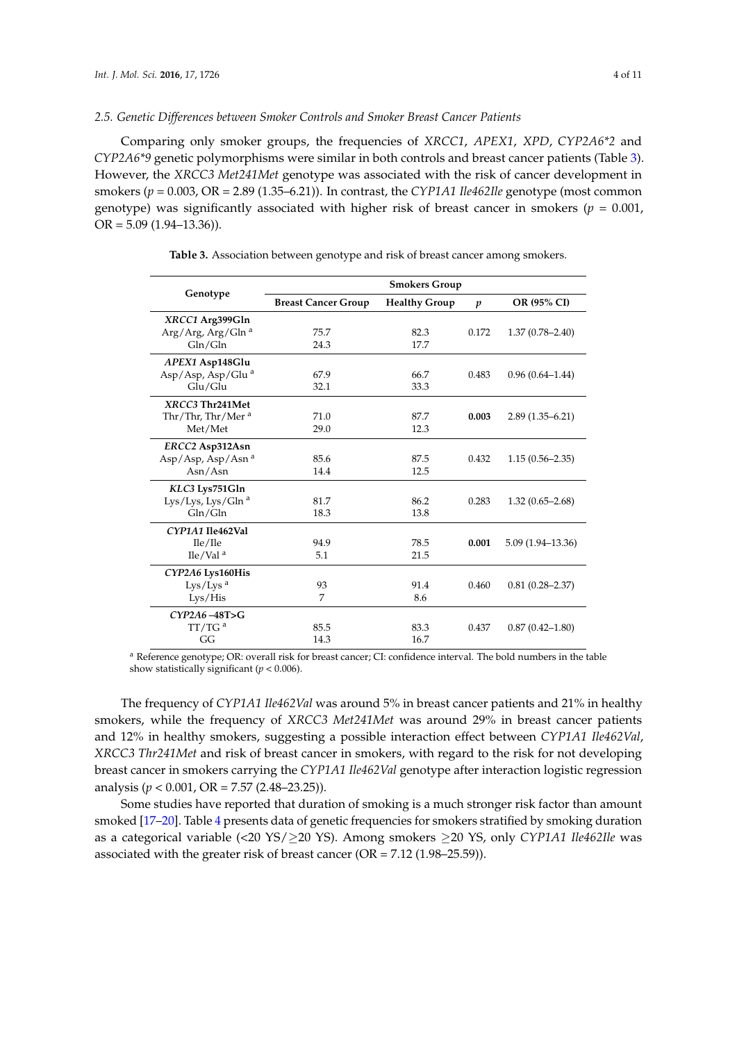### *2.5. Genetic Differences between Smoker Controls and Smoker Breast Cancer Patients*

Comparing only smoker groups, the frequencies of *XRCC1*, *APEX1*, *XPD*, *CYP2A6\*2* and *CYP2A6\*9* genetic polymorphisms were similar in both controls and breast cancer patients (Table [3\)](#page-3-0). However, the *XRCC3 Met241Met* genotype was associated with the risk of cancer development in smokers (*p* = 0.003, OR = 2.89 (1.35–6.21)). In contrast, the *CYP1A1 Ile462Ile* genotype (most common genotype) was significantly associated with higher risk of breast cancer in smokers ( $p = 0.001$ ,  $OR = 5.09 (1.94 - 13.36)$ .

<span id="page-3-0"></span>

|                               | <b>Smokers Group</b>                               |      |                  |                      |  |  |
|-------------------------------|----------------------------------------------------|------|------------------|----------------------|--|--|
| Genotype                      | <b>Breast Cancer Group</b><br><b>Healthy Group</b> |      | $\boldsymbol{p}$ | OR (95% CI)          |  |  |
| XRCC1 Arg399Gln               |                                                    |      |                  |                      |  |  |
| Arg/Arg, Arg/Gln <sup>a</sup> | 75.7                                               | 82.3 | 0.172            | $1.37(0.78 - 2.40)$  |  |  |
| Gln/Gln                       | 24.3                                               | 17.7 |                  |                      |  |  |
| APEX1 Asp148Glu               |                                                    |      |                  |                      |  |  |
| Asp/Asp, Asp/Glu <sup>a</sup> | 67.9                                               | 66.7 | 0.483            | $0.96(0.64 - 1.44)$  |  |  |
| Glu/Glu                       | 32.1                                               | 33.3 |                  |                      |  |  |
| XRCC3 Thr241Met               |                                                    |      |                  |                      |  |  |
| Thr/Thr, Thr/Mer <sup>a</sup> | 71.0                                               | 87.7 | 0.003            | $2.89(1.35 - 6.21)$  |  |  |
| Met/Met                       | 29.0                                               | 12.3 |                  |                      |  |  |
| ERCC2 Asp312Asn               |                                                    |      |                  |                      |  |  |
| Asp/Asp, Asp/Asn <sup>a</sup> | 85.6                                               | 87.5 | 0.432            | $1.15(0.56 - 2.35)$  |  |  |
| Asn/Asn                       | 14.4                                               | 12.5 |                  |                      |  |  |
| KLC3 Lys751Gln                |                                                    |      |                  |                      |  |  |
| Lys/Lys, Lys/Gln <sup>a</sup> | 81.7                                               | 86.2 | 0.283            | $1.32(0.65 - 2.68)$  |  |  |
| Gln/Gln                       | 18.3                                               | 13.8 |                  |                      |  |  |
| CYP1A1 Ile462Val              |                                                    |      |                  |                      |  |  |
| Ile/Ile                       | 94.9                                               | 78.5 | 0.001            | $5.09(1.94 - 13.36)$ |  |  |
| $I$ le/Val <sup>a</sup>       | 5.1                                                | 21.5 |                  |                      |  |  |
| CYP2A6 Lys160His              |                                                    |      |                  |                      |  |  |
| Lys/Lys <sup>a</sup>          | 93                                                 | 91.4 | 0.460            | $0.81(0.28 - 2.37)$  |  |  |
| Lys/His                       | 7                                                  | 8.6  |                  |                      |  |  |
| CYP2A6-48T>G                  |                                                    |      |                  |                      |  |  |
| TT/TG <sup>a</sup>            | 85.5                                               | 83.3 | 0.437            | $0.87(0.42 - 1.80)$  |  |  |
| GG                            | 14.3                                               | 16.7 |                  |                      |  |  |

**Table 3.** Association between genotype and risk of breast cancer among smokers.

<sup>a</sup> Reference genotype; OR: overall risk for breast cancer; CI: confidence interval. The bold numbers in the table show statistically significant (*p* < 0.006).

The frequency of *CYP1A1 Ile462Val* was around 5% in breast cancer patients and 21% in healthy smokers, while the frequency of *XRCC3 Met241Met* was around 29% in breast cancer patients and 12% in healthy smokers, suggesting a possible interaction effect between *CYP1A1 Ile462Val*, *XRCC3 Thr241Met* and risk of breast cancer in smokers, with regard to the risk for not developing breast cancer in smokers carrying the *CYP1A1 Ile462Val* genotype after interaction logistic regression analysis (*p* < 0.001, OR = 7.57 (2.48–23.25)).

Some studies have reported that duration of smoking is a much stronger risk factor than amount smoked [\[17](#page-8-14)[–20\]](#page-9-0). Table [4](#page-4-0) presents data of genetic frequencies for smokers stratified by smoking duration as a categorical variable (<20 YS/≥20 YS). Among smokers ≥20 YS, only *CYP1A1 Ile462Ile* was associated with the greater risk of breast cancer (OR = 7.12 (1.98–25.59)).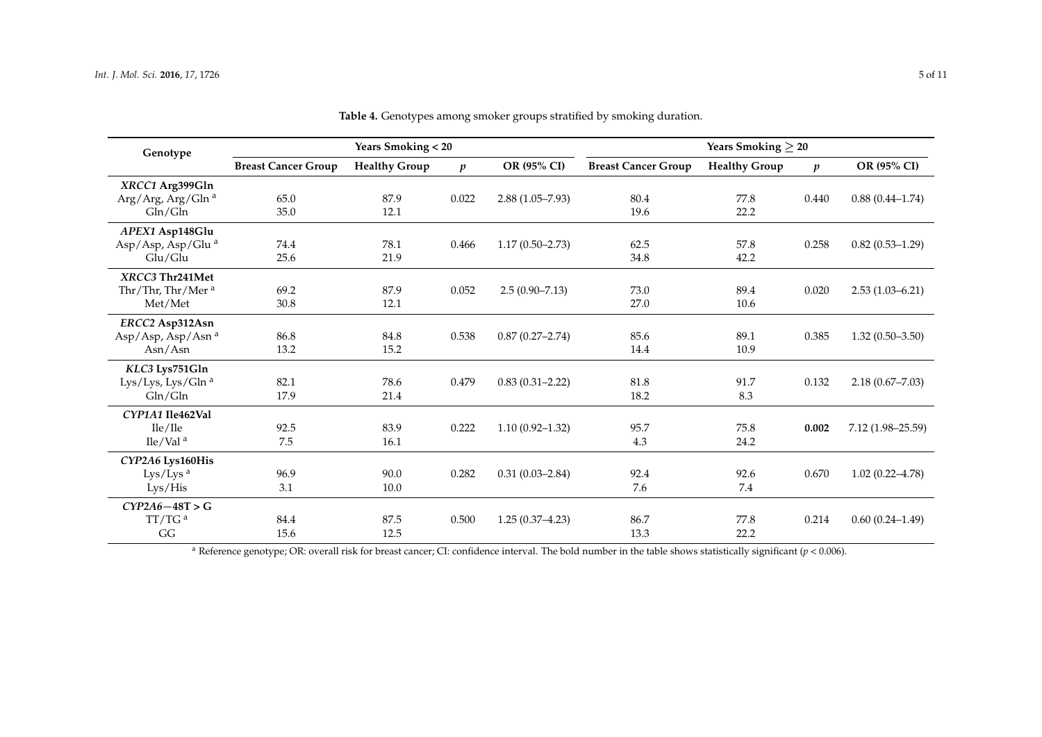| Genotype                       | <b>Years Smoking &lt; 20</b> |                      |                  | <b>Years Smoking <math>\geq 20</math></b> |                            |                      |                  |                     |
|--------------------------------|------------------------------|----------------------|------------------|-------------------------------------------|----------------------------|----------------------|------------------|---------------------|
|                                | <b>Breast Cancer Group</b>   | <b>Healthy Group</b> | $\boldsymbol{p}$ | OR (95% CI)                               | <b>Breast Cancer Group</b> | <b>Healthy Group</b> | $\boldsymbol{p}$ | OR (95% CI)         |
| XRCC1 Arg399Gln                |                              |                      |                  |                                           |                            |                      |                  |                     |
| Arg/Arg, Arg/Gln <sup>a</sup>  | 65.0                         | 87.9                 | 0.022            | $2.88(1.05 - 7.93)$                       | 80.4                       | 77.8                 | 0.440            | $0.88(0.44 - 1.74)$ |
| Gln/Gln                        | 35.0                         | 12.1                 |                  |                                           | 19.6                       | 22.2                 |                  |                     |
| APEX1 Asp148Glu                |                              |                      |                  |                                           |                            |                      |                  |                     |
| Asp/Asp, Asp/Glu <sup>a</sup>  | 74.4                         | 78.1                 | 0.466            | $1.17(0.50-2.73)$                         | 62.5                       | 57.8                 | 0.258            | $0.82(0.53 - 1.29)$ |
| Glu/Glu                        | 25.6                         | 21.9                 |                  |                                           | 34.8                       | 42.2                 |                  |                     |
| XRCC3 Thr241Met                |                              |                      |                  |                                           |                            |                      |                  |                     |
| Thr/Thr, Thr/Mer <sup>a</sup>  | 69.2                         | 87.9                 | 0.052            | $2.5(0.90 - 7.13)$                        | 73.0                       | 89.4                 | 0.020            | $2.53(1.03 - 6.21)$ |
| Met/Met                        | 30.8                         | 12.1                 |                  |                                           | 27.0                       | 10.6                 |                  |                     |
| ERCC2 Asp312Asn                |                              |                      |                  |                                           |                            |                      |                  |                     |
| Asp/Asp, Asp/Asn <sup>a</sup>  | 86.8                         | 84.8                 | 0.538            | $0.87(0.27 - 2.74)$                       | 85.6                       | 89.1                 | 0.385            | $1.32(0.50-3.50)$   |
| Asn/Asn                        | 13.2                         | 15.2                 |                  |                                           | 14.4                       | 10.9                 |                  |                     |
| KLC3 Lys751Gln                 |                              |                      |                  |                                           |                            |                      |                  |                     |
| Lys/Lys, Lys/Gln <sup>a</sup>  | 82.1                         | 78.6                 | 0.479            | $0.83(0.31 - 2.22)$                       | 81.8                       | 91.7                 | 0.132            | $2.18(0.67 - 7.03)$ |
| Gln/Gln                        | 17.9                         | 21.4                 |                  |                                           | 18.2                       | 8.3                  |                  |                     |
| CYP1A1 Ile462Val               |                              |                      |                  |                                           |                            |                      |                  |                     |
| Ile/Ile                        | 92.5                         | 83.9                 | 0.222            | $1.10(0.92 - 1.32)$                       | 95.7                       | 75.8                 | 0.002            | 7.12 (1.98-25.59)   |
| $\text{I}$ le/Val <sup>a</sup> | 7.5                          | 16.1                 |                  |                                           | 4.3                        | 24.2                 |                  |                     |
| CYP2A6 Lys160His               |                              |                      |                  |                                           |                            |                      |                  |                     |
| Lys/Lys <sup>a</sup>           | 96.9                         | 90.0                 | 0.282            | $0.31(0.03 - 2.84)$                       | 92.4                       | 92.6                 | 0.670            | $1.02(0.22 - 4.78)$ |
| Lys/His                        | 3.1                          | 10.0                 |                  |                                           | 7.6                        | 7.4                  |                  |                     |
| $CYP2A6 - 48T > G$             |                              |                      |                  |                                           |                            |                      |                  |                     |
| TT/TG <sup>a</sup>             | 84.4                         | 87.5                 | 0.500            | $1.25(0.37-4.23)$                         | 86.7                       | 77.8                 | 0.214            | $0.60(0.24 - 1.49)$ |
| GG                             | 15.6                         | 12.5                 |                  |                                           | 13.3                       | 22.2                 |                  |                     |

**Table 4.** Genotypes among smoker groups stratified by smoking duration.

<span id="page-4-0"></span><sup>a</sup> Reference genotype; OR: overall risk for breast cancer; CI: confidence interval. The bold number in the table shows statistically significant ( $p < 0.006$ ).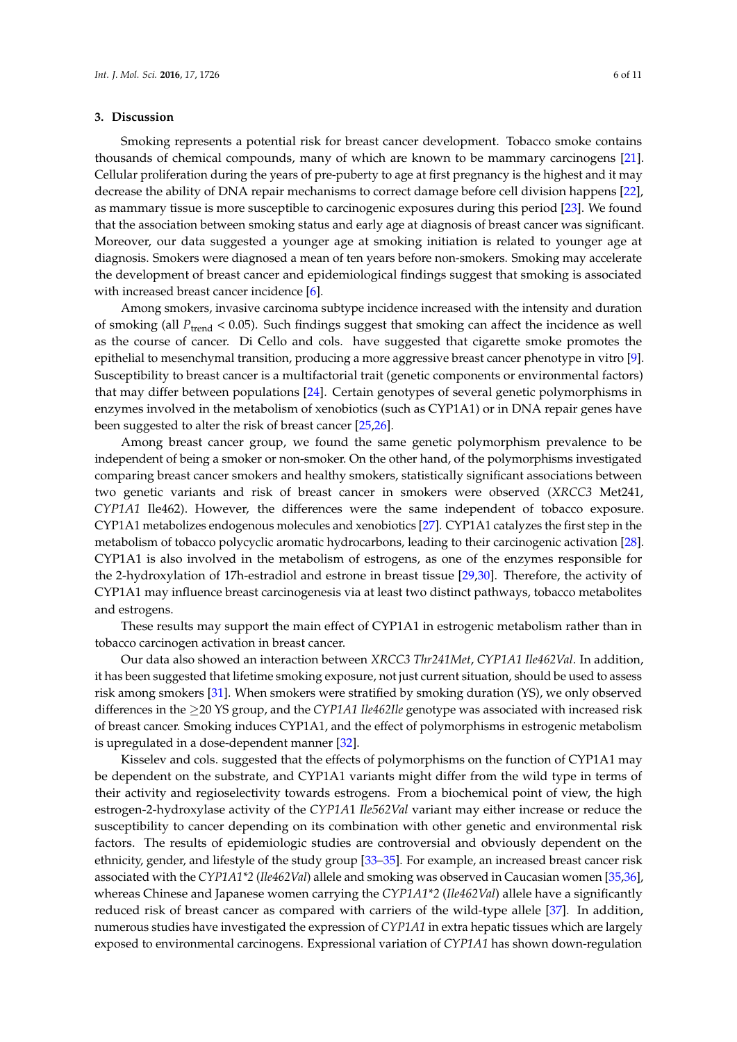#### **3. Discussion**

Smoking represents a potential risk for breast cancer development. Tobacco smoke contains thousands of chemical compounds, many of which are known to be mammary carcinogens [\[21\]](#page-9-1). Cellular proliferation during the years of pre-puberty to age at first pregnancy is the highest and it may decrease the ability of DNA repair mechanisms to correct damage before cell division happens [\[22\]](#page-9-2), as mammary tissue is more susceptible to carcinogenic exposures during this period [\[23\]](#page-9-3). We found that the association between smoking status and early age at diagnosis of breast cancer was significant. Moreover, our data suggested a younger age at smoking initiation is related to younger age at diagnosis. Smokers were diagnosed a mean of ten years before non-smokers. Smoking may accelerate the development of breast cancer and epidemiological findings suggest that smoking is associated with increased breast cancer incidence [\[6\]](#page-8-15).

Among smokers, invasive carcinoma subtype incidence increased with the intensity and duration of smoking (all *P*<sub>trend</sub> < 0.05). Such findings suggest that smoking can affect the incidence as well as the course of cancer. Di Cello and cols. have suggested that cigarette smoke promotes the epithelial to mesenchymal transition, producing a more aggressive breast cancer phenotype in vitro [\[9\]](#page-8-7). Susceptibility to breast cancer is a multifactorial trait (genetic components or environmental factors) that may differ between populations [\[24\]](#page-9-4). Certain genotypes of several genetic polymorphisms in enzymes involved in the metabolism of xenobiotics (such as CYP1A1) or in DNA repair genes have been suggested to alter the risk of breast cancer [\[25,](#page-9-5)[26\]](#page-9-6).

Among breast cancer group, we found the same genetic polymorphism prevalence to be independent of being a smoker or non-smoker. On the other hand, of the polymorphisms investigated comparing breast cancer smokers and healthy smokers, statistically significant associations between two genetic variants and risk of breast cancer in smokers were observed (*XRCC3* Met241, *CYP1A1* Ile462). However, the differences were the same independent of tobacco exposure. CYP1A1 metabolizes endogenous molecules and xenobiotics [\[27\]](#page-9-7). CYP1A1 catalyzes the first step in the metabolism of tobacco polycyclic aromatic hydrocarbons, leading to their carcinogenic activation [\[28\]](#page-9-8). CYP1A1 is also involved in the metabolism of estrogens, as one of the enzymes responsible for the 2-hydroxylation of 17h-estradiol and estrone in breast tissue [\[29](#page-9-9)[,30\]](#page-9-10). Therefore, the activity of CYP1A1 may influence breast carcinogenesis via at least two distinct pathways, tobacco metabolites and estrogens.

These results may support the main effect of CYP1A1 in estrogenic metabolism rather than in tobacco carcinogen activation in breast cancer.

Our data also showed an interaction between *XRCC3 Thr241Met*, *CYP1A1 Ile462Val*. In addition, it has been suggested that lifetime smoking exposure, not just current situation, should be used to assess risk among smokers [\[31\]](#page-9-11). When smokers were stratified by smoking duration (YS), we only observed differences in the ≥20 YS group, and the *CYP1A1 Ile462Ile* genotype was associated with increased risk of breast cancer. Smoking induces CYP1A1, and the effect of polymorphisms in estrogenic metabolism is upregulated in a dose-dependent manner [\[32\]](#page-9-12).

Kisselev and cols. suggested that the effects of polymorphisms on the function of CYP1A1 may be dependent on the substrate, and CYP1A1 variants might differ from the wild type in terms of their activity and regioselectivity towards estrogens. From a biochemical point of view, the high estrogen-2-hydroxylase activity of the *CYP1A*1 *Ile562Val* variant may either increase or reduce the susceptibility to cancer depending on its combination with other genetic and environmental risk factors. The results of epidemiologic studies are controversial and obviously dependent on the ethnicity, gender, and lifestyle of the study group [\[33–](#page-9-13)[35\]](#page-9-14). For example, an increased breast cancer risk associated with the *CYP1A1\*2* (*Ile462Val*) allele and smoking was observed in Caucasian women [\[35](#page-9-14)[,36\]](#page-9-15), whereas Chinese and Japanese women carrying the *CYP1A1\*2* (*Ile462Val*) allele have a significantly reduced risk of breast cancer as compared with carriers of the wild-type allele [\[37\]](#page-9-16). In addition, numerous studies have investigated the expression of *CYP1A1* in extra hepatic tissues which are largely exposed to environmental carcinogens. Expressional variation of *CYP1A1* has shown down-regulation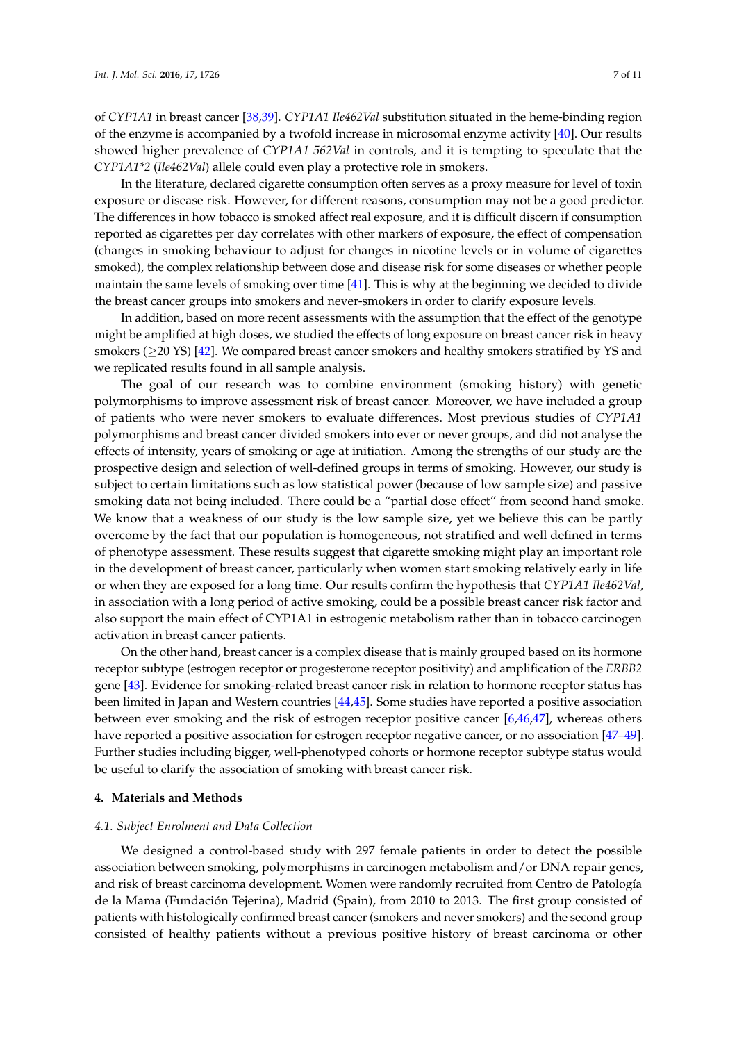of *CYP1A1* in breast cancer [\[38,](#page-9-17)[39\]](#page-10-0). *CYP1A1 Ile462Val* substitution situated in the heme-binding region of the enzyme is accompanied by a twofold increase in microsomal enzyme activity [\[40\]](#page-10-1). Our results showed higher prevalence of *CYP1A1 562Val* in controls, and it is tempting to speculate that the *CYP1A1\*2* (*Ile462Val*) allele could even play a protective role in smokers.

In the literature, declared cigarette consumption often serves as a proxy measure for level of toxin exposure or disease risk. However, for different reasons, consumption may not be a good predictor. The differences in how tobacco is smoked affect real exposure, and it is difficult discern if consumption reported as cigarettes per day correlates with other markers of exposure, the effect of compensation (changes in smoking behaviour to adjust for changes in nicotine levels or in volume of cigarettes smoked), the complex relationship between dose and disease risk for some diseases or whether people maintain the same levels of smoking over time [\[41\]](#page-10-2). This is why at the beginning we decided to divide the breast cancer groups into smokers and never-smokers in order to clarify exposure levels.

In addition, based on more recent assessments with the assumption that the effect of the genotype might be amplified at high doses, we studied the effects of long exposure on breast cancer risk in heavy smokers (≥20 YS) [\[42\]](#page-10-3). We compared breast cancer smokers and healthy smokers stratified by YS and we replicated results found in all sample analysis.

The goal of our research was to combine environment (smoking history) with genetic polymorphisms to improve assessment risk of breast cancer. Moreover, we have included a group of patients who were never smokers to evaluate differences. Most previous studies of *CYP1A1* polymorphisms and breast cancer divided smokers into ever or never groups, and did not analyse the effects of intensity, years of smoking or age at initiation. Among the strengths of our study are the prospective design and selection of well-defined groups in terms of smoking. However, our study is subject to certain limitations such as low statistical power (because of low sample size) and passive smoking data not being included. There could be a "partial dose effect" from second hand smoke. We know that a weakness of our study is the low sample size, yet we believe this can be partly overcome by the fact that our population is homogeneous, not stratified and well defined in terms of phenotype assessment. These results suggest that cigarette smoking might play an important role in the development of breast cancer, particularly when women start smoking relatively early in life or when they are exposed for a long time. Our results confirm the hypothesis that *CYP1A1 Ile462Val*, in association with a long period of active smoking, could be a possible breast cancer risk factor and also support the main effect of CYP1A1 in estrogenic metabolism rather than in tobacco carcinogen activation in breast cancer patients.

On the other hand, breast cancer is a complex disease that is mainly grouped based on its hormone receptor subtype (estrogen receptor or progesterone receptor positivity) and amplification of the *ERBB2* gene [\[43\]](#page-10-4). Evidence for smoking-related breast cancer risk in relation to hormone receptor status has been limited in Japan and Western countries [\[44,](#page-10-5)[45\]](#page-10-6). Some studies have reported a positive association between ever smoking and the risk of estrogen receptor positive cancer [\[6,](#page-8-15)[46,](#page-10-7)[47\]](#page-10-8), whereas others have reported a positive association for estrogen receptor negative cancer, or no association [\[47–](#page-10-8)[49\]](#page-10-9). Further studies including bigger, well-phenotyped cohorts or hormone receptor subtype status would be useful to clarify the association of smoking with breast cancer risk.

#### **4. Materials and Methods**

#### *4.1. Subject Enrolment and Data Collection*

We designed a control-based study with 297 female patients in order to detect the possible association between smoking, polymorphisms in carcinogen metabolism and/or DNA repair genes, and risk of breast carcinoma development. Women were randomly recruited from Centro de Patología de la Mama (Fundación Tejerina), Madrid (Spain), from 2010 to 2013. The first group consisted of patients with histologically confirmed breast cancer (smokers and never smokers) and the second group consisted of healthy patients without a previous positive history of breast carcinoma or other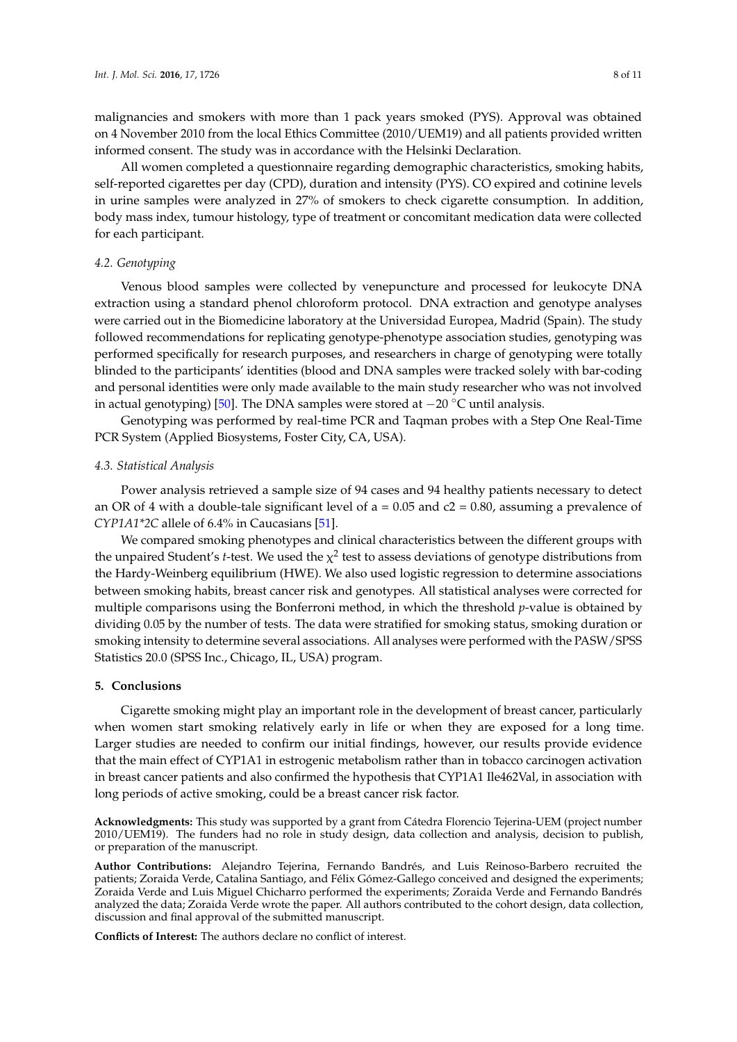malignancies and smokers with more than 1 pack years smoked (PYS). Approval was obtained on 4 November 2010 from the local Ethics Committee (2010/UEM19) and all patients provided written informed consent. The study was in accordance with the Helsinki Declaration.

All women completed a questionnaire regarding demographic characteristics, smoking habits, self-reported cigarettes per day (CPD), duration and intensity (PYS). CO expired and cotinine levels in urine samples were analyzed in 27% of smokers to check cigarette consumption. In addition, body mass index, tumour histology, type of treatment or concomitant medication data were collected for each participant.

# *4.2. Genotyping*

Venous blood samples were collected by venepuncture and processed for leukocyte DNA extraction using a standard phenol chloroform protocol. DNA extraction and genotype analyses were carried out in the Biomedicine laboratory at the Universidad Europea, Madrid (Spain). The study followed recommendations for replicating genotype-phenotype association studies, genotyping was performed specifically for research purposes, and researchers in charge of genotyping were totally blinded to the participants' identities (blood and DNA samples were tracked solely with bar-coding and personal identities were only made available to the main study researcher who was not involved in actual genotyping) [\[50\]](#page-10-10). The DNA samples were stored at  $-20$  °C until analysis.

Genotyping was performed by real-time PCR and Taqman probes with a Step One Real-Time PCR System (Applied Biosystems, Foster City, CA, USA).

### *4.3. Statistical Analysis*

Power analysis retrieved a sample size of 94 cases and 94 healthy patients necessary to detect an OR of 4 with a double-tale significant level of  $a = 0.05$  and  $c2 = 0.80$ , assuming a prevalence of *CYP1A1\*2C* allele of 6.4% in Caucasians [\[51\]](#page-10-11).

We compared smoking phenotypes and clinical characteristics between the different groups with the unpaired Student's *t*-test. We used the  $\chi^2$  test to assess deviations of genotype distributions from the Hardy-Weinberg equilibrium (HWE). We also used logistic regression to determine associations between smoking habits, breast cancer risk and genotypes. All statistical analyses were corrected for multiple comparisons using the Bonferroni method, in which the threshold *p*-value is obtained by dividing 0.05 by the number of tests. The data were stratified for smoking status, smoking duration or smoking intensity to determine several associations. All analyses were performed with the PASW/SPSS Statistics 20.0 (SPSS Inc., Chicago, IL, USA) program.

#### **5. Conclusions**

Cigarette smoking might play an important role in the development of breast cancer, particularly when women start smoking relatively early in life or when they are exposed for a long time. Larger studies are needed to confirm our initial findings, however, our results provide evidence that the main effect of CYP1A1 in estrogenic metabolism rather than in tobacco carcinogen activation in breast cancer patients and also confirmed the hypothesis that CYP1A1 Ile462Val, in association with long periods of active smoking, could be a breast cancer risk factor.

**Acknowledgments:** This study was supported by a grant from Cátedra Florencio Tejerina-UEM (project number 2010/UEM19). The funders had no role in study design, data collection and analysis, decision to publish, or preparation of the manuscript.

**Author Contributions:** Alejandro Tejerina, Fernando Bandrés, and Luis Reinoso-Barbero recruited the patients; Zoraida Verde, Catalina Santiago, and Félix Gómez-Gallego conceived and designed the experiments; Zoraida Verde and Luis Miguel Chicharro performed the experiments; Zoraida Verde and Fernando Bandrés analyzed the data; Zoraida Verde wrote the paper. All authors contributed to the cohort design, data collection, discussion and final approval of the submitted manuscript.

**Conflicts of Interest:** The authors declare no conflict of interest.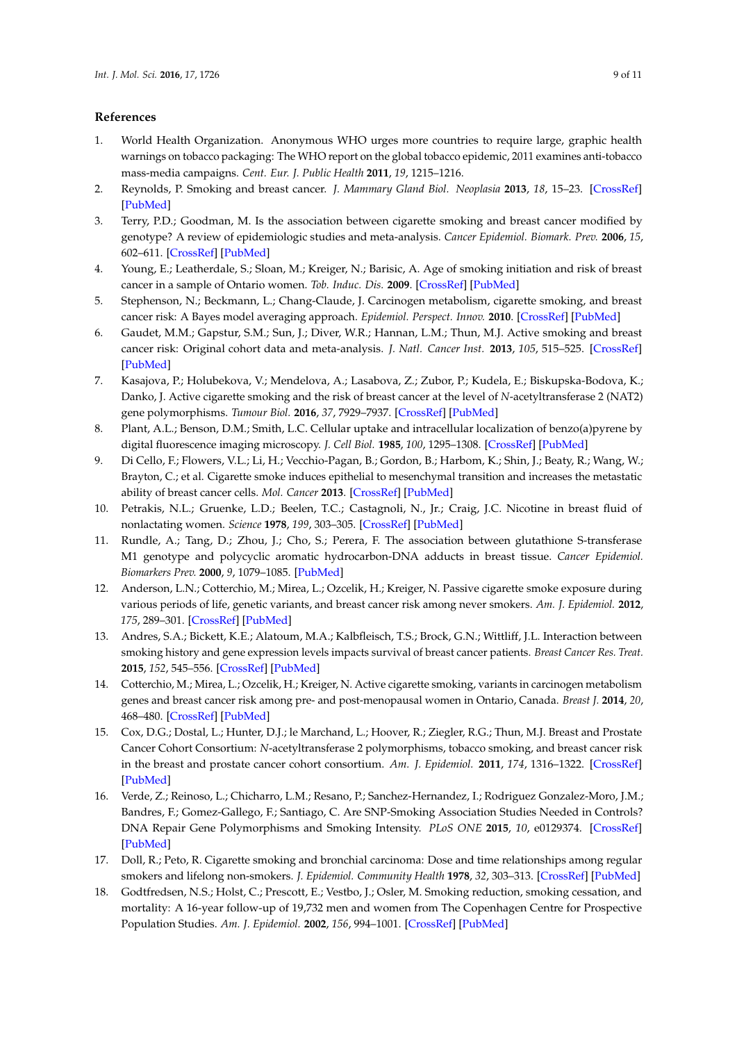# **References**

- <span id="page-8-0"></span>1. World Health Organization. Anonymous WHO urges more countries to require large, graphic health warnings on tobacco packaging: The WHO report on the global tobacco epidemic, 2011 examines anti-tobacco mass-media campaigns. *Cent. Eur. J. Public Health* **2011**, *19*, 1215–1216.
- <span id="page-8-1"></span>2. Reynolds, P. Smoking and breast cancer. *J. Mammary Gland Biol. Neoplasia* **2013**, *18*, 15–23. [\[CrossRef\]](http://dx.doi.org/10.1007/s10911-012-9269-x) [\[PubMed\]](http://www.ncbi.nlm.nih.gov/pubmed/23179580)
- <span id="page-8-2"></span>3. Terry, P.D.; Goodman, M. Is the association between cigarette smoking and breast cancer modified by genotype? A review of epidemiologic studies and meta-analysis. *Cancer Epidemiol. Biomark. Prev.* **2006**, *15*, 602–611. [\[CrossRef\]](http://dx.doi.org/10.1158/1055-9965.EPI-05-0853) [\[PubMed\]](http://www.ncbi.nlm.nih.gov/pubmed/16614098)
- <span id="page-8-3"></span>4. Young, E.; Leatherdale, S.; Sloan, M.; Kreiger, N.; Barisic, A. Age of smoking initiation and risk of breast cancer in a sample of Ontario women. *Tob. Induc. Dis.* **2009**. [\[CrossRef\]](http://dx.doi.org/10.1186/1617-9625-5-4) [\[PubMed\]](http://www.ncbi.nlm.nih.gov/pubmed/19222858)
- <span id="page-8-4"></span>5. Stephenson, N.; Beckmann, L.; Chang-Claude, J. Carcinogen metabolism, cigarette smoking, and breast cancer risk: A Bayes model averaging approach. *Epidemiol. Perspect. Innov.* **2010**. [\[CrossRef\]](http://dx.doi.org/10.1186/1742-5573-7-10) [\[PubMed\]](http://www.ncbi.nlm.nih.gov/pubmed/21080951)
- <span id="page-8-15"></span>6. Gaudet, M.M.; Gapstur, S.M.; Sun, J.; Diver, W.R.; Hannan, L.M.; Thun, M.J. Active smoking and breast cancer risk: Original cohort data and meta-analysis. *J. Natl. Cancer Inst.* **2013**, *105*, 515–525. [\[CrossRef\]](http://dx.doi.org/10.1093/jnci/djt023) [\[PubMed\]](http://www.ncbi.nlm.nih.gov/pubmed/23449445)
- <span id="page-8-5"></span>7. Kasajova, P.; Holubekova, V.; Mendelova, A.; Lasabova, Z.; Zubor, P.; Kudela, E.; Biskupska-Bodova, K.; Danko, J. Active cigarette smoking and the risk of breast cancer at the level of *N*-acetyltransferase 2 (NAT2) gene polymorphisms. *Tumour Biol.* **2016**, *37*, 7929–7937. [\[CrossRef\]](http://dx.doi.org/10.1007/s13277-015-4685-3) [\[PubMed\]](http://www.ncbi.nlm.nih.gov/pubmed/26700672)
- <span id="page-8-6"></span>8. Plant, A.L.; Benson, D.M.; Smith, L.C. Cellular uptake and intracellular localization of benzo(a)pyrene by digital fluorescence imaging microscopy. *J. Cell Biol.* **1985**, *100*, 1295–1308. [\[CrossRef\]](http://dx.doi.org/10.1083/jcb.100.4.1295) [\[PubMed\]](http://www.ncbi.nlm.nih.gov/pubmed/3980583)
- <span id="page-8-7"></span>9. Di Cello, F.; Flowers, V.L.; Li, H.; Vecchio-Pagan, B.; Gordon, B.; Harbom, K.; Shin, J.; Beaty, R.; Wang, W.; Brayton, C.; et al. Cigarette smoke induces epithelial to mesenchymal transition and increases the metastatic ability of breast cancer cells. *Mol. Cancer* **2013**. [\[CrossRef\]](http://dx.doi.org/10.1186/1476-4598-12-90) [\[PubMed\]](http://www.ncbi.nlm.nih.gov/pubmed/23919753)
- <span id="page-8-8"></span>10. Petrakis, N.L.; Gruenke, L.D.; Beelen, T.C.; Castagnoli, N., Jr.; Craig, J.C. Nicotine in breast fluid of nonlactating women. *Science* **1978**, *199*, 303–305. [\[CrossRef\]](http://dx.doi.org/10.1126/science.619458) [\[PubMed\]](http://www.ncbi.nlm.nih.gov/pubmed/619458)
- <span id="page-8-9"></span>11. Rundle, A.; Tang, D.; Zhou, J.; Cho, S.; Perera, F. The association between glutathione S-transferase M1 genotype and polycyclic aromatic hydrocarbon-DNA adducts in breast tissue. *Cancer Epidemiol. Biomarkers Prev.* **2000**, *9*, 1079–1085. [\[PubMed\]](http://www.ncbi.nlm.nih.gov/pubmed/11045791)
- <span id="page-8-10"></span>12. Anderson, L.N.; Cotterchio, M.; Mirea, L.; Ozcelik, H.; Kreiger, N. Passive cigarette smoke exposure during various periods of life, genetic variants, and breast cancer risk among never smokers. *Am. J. Epidemiol.* **2012**, *175*, 289–301. [\[CrossRef\]](http://dx.doi.org/10.1093/aje/kwr324) [\[PubMed\]](http://www.ncbi.nlm.nih.gov/pubmed/22247046)
- <span id="page-8-11"></span>13. Andres, S.A.; Bickett, K.E.; Alatoum, M.A.; Kalbfleisch, T.S.; Brock, G.N.; Wittliff, J.L. Interaction between smoking history and gene expression levels impacts survival of breast cancer patients. *Breast Cancer Res. Treat.* **2015**, *152*, 545–556. [\[CrossRef\]](http://dx.doi.org/10.1007/s10549-015-3507-z) [\[PubMed\]](http://www.ncbi.nlm.nih.gov/pubmed/26202054)
- 14. Cotterchio, M.; Mirea, L.; Ozcelik, H.; Kreiger, N. Active cigarette smoking, variants in carcinogen metabolism genes and breast cancer risk among pre- and post-menopausal women in Ontario, Canada. *Breast J.* **2014**, *20*, 468–480. [\[CrossRef\]](http://dx.doi.org/10.1111/tbj.12304) [\[PubMed\]](http://www.ncbi.nlm.nih.gov/pubmed/25052559)
- <span id="page-8-12"></span>15. Cox, D.G.; Dostal, L.; Hunter, D.J.; le Marchand, L.; Hoover, R.; Ziegler, R.G.; Thun, M.J. Breast and Prostate Cancer Cohort Consortium: *N*-acetyltransferase 2 polymorphisms, tobacco smoking, and breast cancer risk in the breast and prostate cancer cohort consortium. *Am. J. Epidemiol.* **2011**, *174*, 1316–1322. [\[CrossRef\]](http://dx.doi.org/10.1093/aje/kwr257) [\[PubMed\]](http://www.ncbi.nlm.nih.gov/pubmed/22074863)
- <span id="page-8-13"></span>16. Verde, Z.; Reinoso, L.; Chicharro, L.M.; Resano, P.; Sanchez-Hernandez, I.; Rodriguez Gonzalez-Moro, J.M.; Bandres, F.; Gomez-Gallego, F.; Santiago, C. Are SNP-Smoking Association Studies Needed in Controls? DNA Repair Gene Polymorphisms and Smoking Intensity. *PLoS ONE* **2015**, *10*, e0129374. [\[CrossRef\]](http://dx.doi.org/10.1371/journal.pone.0129374) [\[PubMed\]](http://www.ncbi.nlm.nih.gov/pubmed/26017978)
- <span id="page-8-14"></span>17. Doll, R.; Peto, R. Cigarette smoking and bronchial carcinoma: Dose and time relationships among regular smokers and lifelong non-smokers. *J. Epidemiol. Community Health* **1978**, *32*, 303–313. [\[CrossRef\]](http://dx.doi.org/10.1136/jech.32.4.303) [\[PubMed\]](http://www.ncbi.nlm.nih.gov/pubmed/744822)
- 18. Godtfredsen, N.S.; Holst, C.; Prescott, E.; Vestbo, J.; Osler, M. Smoking reduction, smoking cessation, and mortality: A 16-year follow-up of 19,732 men and women from The Copenhagen Centre for Prospective Population Studies. *Am. J. Epidemiol.* **2002**, *156*, 994–1001. [\[CrossRef\]](http://dx.doi.org/10.1093/aje/kwf150) [\[PubMed\]](http://www.ncbi.nlm.nih.gov/pubmed/12446255)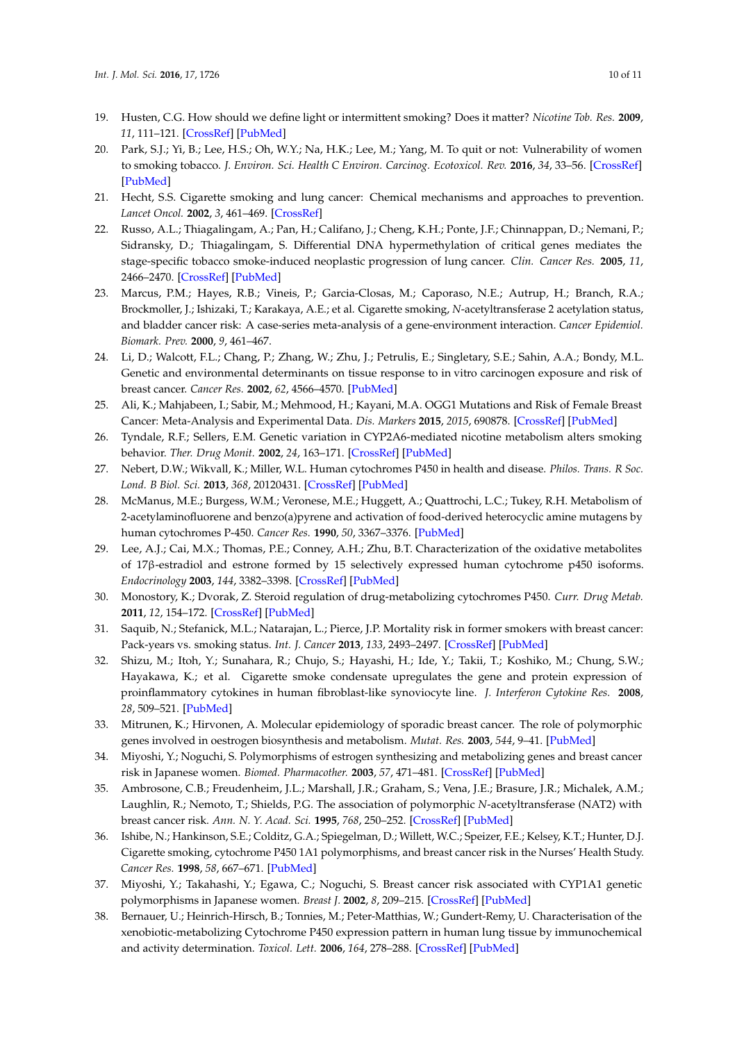- 19. Husten, C.G. How should we define light or intermittent smoking? Does it matter? *Nicotine Tob. Res.* **2009**, *11*, 111–121. [\[CrossRef\]](http://dx.doi.org/10.1093/ntr/ntp010) [\[PubMed\]](http://www.ncbi.nlm.nih.gov/pubmed/19246425)
- <span id="page-9-0"></span>20. Park, S.J.; Yi, B.; Lee, H.S.; Oh, W.Y.; Na, H.K.; Lee, M.; Yang, M. To quit or not: Vulnerability of women to smoking tobacco. *J. Environ. Sci. Health C Environ. Carcinog. Ecotoxicol. Rev.* **2016**, *34*, 33–56. [\[CrossRef\]](http://dx.doi.org/10.1080/10590501.2015.1131539) [\[PubMed\]](http://www.ncbi.nlm.nih.gov/pubmed/26669465)
- <span id="page-9-1"></span>21. Hecht, S.S. Cigarette smoking and lung cancer: Chemical mechanisms and approaches to prevention. *Lancet Oncol.* **2002**, *3*, 461–469. [\[CrossRef\]](http://dx.doi.org/10.1016/S1470-2045(02)00815-X)
- <span id="page-9-2"></span>22. Russo, A.L.; Thiagalingam, A.; Pan, H.; Califano, J.; Cheng, K.H.; Ponte, J.F.; Chinnappan, D.; Nemani, P.; Sidransky, D.; Thiagalingam, S. Differential DNA hypermethylation of critical genes mediates the stage-specific tobacco smoke-induced neoplastic progression of lung cancer. *Clin. Cancer Res.* **2005**, *11*, 2466–2470. [\[CrossRef\]](http://dx.doi.org/10.1158/1078-0432.CCR-04-1962) [\[PubMed\]](http://www.ncbi.nlm.nih.gov/pubmed/15814621)
- <span id="page-9-3"></span>23. Marcus, P.M.; Hayes, R.B.; Vineis, P.; Garcia-Closas, M.; Caporaso, N.E.; Autrup, H.; Branch, R.A.; Brockmoller, J.; Ishizaki, T.; Karakaya, A.E.; et al. Cigarette smoking, *N*-acetyltransferase 2 acetylation status, and bladder cancer risk: A case-series meta-analysis of a gene-environment interaction. *Cancer Epidemiol. Biomark. Prev.* **2000**, *9*, 461–467.
- <span id="page-9-4"></span>24. Li, D.; Walcott, F.L.; Chang, P.; Zhang, W.; Zhu, J.; Petrulis, E.; Singletary, S.E.; Sahin, A.A.; Bondy, M.L. Genetic and environmental determinants on tissue response to in vitro carcinogen exposure and risk of breast cancer. *Cancer Res.* **2002**, *62*, 4566–4570. [\[PubMed\]](http://www.ncbi.nlm.nih.gov/pubmed/12183407)
- <span id="page-9-5"></span>25. Ali, K.; Mahjabeen, I.; Sabir, M.; Mehmood, H.; Kayani, M.A. OGG1 Mutations and Risk of Female Breast Cancer: Meta-Analysis and Experimental Data. *Dis. Markers* **2015**, *2015*, 690878. [\[CrossRef\]](http://dx.doi.org/10.1155/2015/690878) [\[PubMed\]](http://www.ncbi.nlm.nih.gov/pubmed/26089588)
- <span id="page-9-6"></span>26. Tyndale, R.F.; Sellers, E.M. Genetic variation in CYP2A6-mediated nicotine metabolism alters smoking behavior. *Ther. Drug Monit.* **2002**, *24*, 163–171. [\[CrossRef\]](http://dx.doi.org/10.1097/00007691-200202000-00026) [\[PubMed\]](http://www.ncbi.nlm.nih.gov/pubmed/11805739)
- <span id="page-9-7"></span>27. Nebert, D.W.; Wikvall, K.; Miller, W.L. Human cytochromes P450 in health and disease. *Philos. Trans. R Soc. Lond. B Biol. Sci.* **2013**, *368*, 20120431. [\[CrossRef\]](http://dx.doi.org/10.1098/rstb.2012.0431) [\[PubMed\]](http://www.ncbi.nlm.nih.gov/pubmed/23297354)
- <span id="page-9-8"></span>28. McManus, M.E.; Burgess, W.M.; Veronese, M.E.; Huggett, A.; Quattrochi, L.C.; Tukey, R.H. Metabolism of 2-acetylaminofluorene and benzo(a)pyrene and activation of food-derived heterocyclic amine mutagens by human cytochromes P-450. *Cancer Res.* **1990**, *50*, 3367–3376. [\[PubMed\]](http://www.ncbi.nlm.nih.gov/pubmed/2334931)
- <span id="page-9-9"></span>29. Lee, A.J.; Cai, M.X.; Thomas, P.E.; Conney, A.H.; Zhu, B.T. Characterization of the oxidative metabolites of 17β-estradiol and estrone formed by 15 selectively expressed human cytochrome p450 isoforms. *Endocrinology* **2003**, *144*, 3382–3398. [\[CrossRef\]](http://dx.doi.org/10.1210/en.2003-0192) [\[PubMed\]](http://www.ncbi.nlm.nih.gov/pubmed/12865317)
- <span id="page-9-10"></span>30. Monostory, K.; Dvorak, Z. Steroid regulation of drug-metabolizing cytochromes P450. *Curr. Drug Metab.* **2011**, *12*, 154–172. [\[CrossRef\]](http://dx.doi.org/10.2174/138920011795016854) [\[PubMed\]](http://www.ncbi.nlm.nih.gov/pubmed/21395541)
- <span id="page-9-11"></span>31. Saquib, N.; Stefanick, M.L.; Natarajan, L.; Pierce, J.P. Mortality risk in former smokers with breast cancer: Pack-years vs. smoking status. *Int. J. Cancer* **2013**, *133*, 2493–2497. [\[CrossRef\]](http://dx.doi.org/10.1002/ijc.28241) [\[PubMed\]](http://www.ncbi.nlm.nih.gov/pubmed/23649774)
- <span id="page-9-12"></span>32. Shizu, M.; Itoh, Y.; Sunahara, R.; Chujo, S.; Hayashi, H.; Ide, Y.; Takii, T.; Koshiko, M.; Chung, S.W.; Hayakawa, K.; et al. Cigarette smoke condensate upregulates the gene and protein expression of proinflammatory cytokines in human fibroblast-like synoviocyte line. *J. Interferon Cytokine Res.* **2008**, *28*, 509–521. [\[PubMed\]](http://www.ncbi.nlm.nih.gov/pubmed/18729741)
- <span id="page-9-13"></span>33. Mitrunen, K.; Hirvonen, A. Molecular epidemiology of sporadic breast cancer. The role of polymorphic genes involved in oestrogen biosynthesis and metabolism. *Mutat. Res.* **2003**, *544*, 9–41. [\[PubMed\]](http://www.ncbi.nlm.nih.gov/pubmed/12888106)
- 34. Miyoshi, Y.; Noguchi, S. Polymorphisms of estrogen synthesizing and metabolizing genes and breast cancer risk in Japanese women. *Biomed. Pharmacother.* **2003**, *57*, 471–481. [\[CrossRef\]](http://dx.doi.org/10.1016/j.biopha.2003.09.008) [\[PubMed\]](http://www.ncbi.nlm.nih.gov/pubmed/14637391)
- <span id="page-9-14"></span>35. Ambrosone, C.B.; Freudenheim, J.L.; Marshall, J.R.; Graham, S.; Vena, J.E.; Brasure, J.R.; Michalek, A.M.; Laughlin, R.; Nemoto, T.; Shields, P.G. The association of polymorphic *N*-acetyltransferase (NAT2) with breast cancer risk. *Ann. N. Y. Acad. Sci.* **1995**, *768*, 250–252. [\[CrossRef\]](http://dx.doi.org/10.1111/j.1749-6632.1995.tb12132.x) [\[PubMed\]](http://www.ncbi.nlm.nih.gov/pubmed/8526358)
- <span id="page-9-15"></span>36. Ishibe, N.; Hankinson, S.E.; Colditz, G.A.; Spiegelman, D.; Willett, W.C.; Speizer, F.E.; Kelsey, K.T.; Hunter, D.J. Cigarette smoking, cytochrome P450 1A1 polymorphisms, and breast cancer risk in the Nurses' Health Study. *Cancer Res.* **1998**, *58*, 667–671. [\[PubMed\]](http://www.ncbi.nlm.nih.gov/pubmed/9485019)
- <span id="page-9-16"></span>37. Miyoshi, Y.; Takahashi, Y.; Egawa, C.; Noguchi, S. Breast cancer risk associated with CYP1A1 genetic polymorphisms in Japanese women. *Breast J.* **2002**, *8*, 209–215. [\[CrossRef\]](http://dx.doi.org/10.1046/j.1524-4741.2002.08404.x) [\[PubMed\]](http://www.ncbi.nlm.nih.gov/pubmed/12100112)
- <span id="page-9-17"></span>38. Bernauer, U.; Heinrich-Hirsch, B.; Tonnies, M.; Peter-Matthias, W.; Gundert-Remy, U. Characterisation of the xenobiotic-metabolizing Cytochrome P450 expression pattern in human lung tissue by immunochemical and activity determination. *Toxicol. Lett.* **2006**, *164*, 278–288. [\[CrossRef\]](http://dx.doi.org/10.1016/j.toxlet.2006.01.007) [\[PubMed\]](http://www.ncbi.nlm.nih.gov/pubmed/16483733)